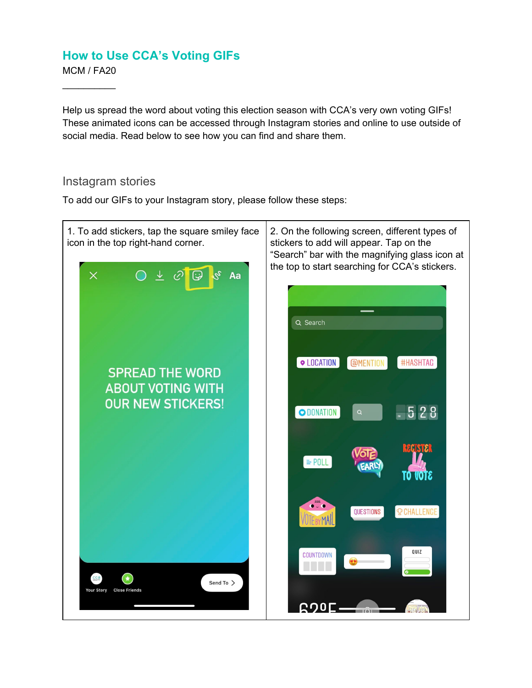MCM / FA20  $\frac{1}{2}$  ,  $\frac{1}{2}$  ,  $\frac{1}{2}$  ,  $\frac{1}{2}$  ,  $\frac{1}{2}$ 

Help us spread the word about voting this election season with CCA's very own voting GIFs! These animated icons can be accessed through Instagram stories and online to use outside of social media. Read below to see how you can find and share them.

#### Instagram stories

To add our GIFs to your Instagram story, please follow these steps:

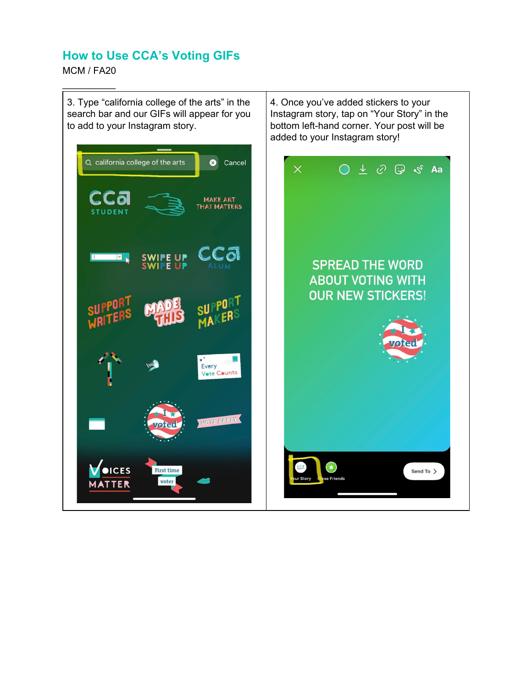MCM / FA20

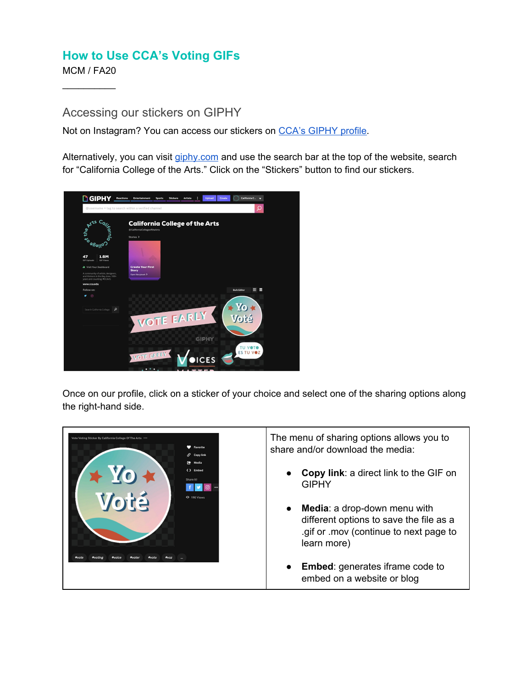MCM / FA20  $\frac{1}{2}$  ,  $\frac{1}{2}$  ,  $\frac{1}{2}$  ,  $\frac{1}{2}$  ,  $\frac{1}{2}$ 

Accessing our stickers on GIPHY

Not on Instagram? You can access our stickers on CCA's [GIPHY](https://giphy.com/californiacollegeofthearts) profile.

Alternatively, you can visit [giphy.com](https://giphy.com/californiacollegeofthearts) and use the search bar at the top of the website, search for "California College of the Arts." Click on the "Stickers" button to find our stickers.



Once on our profile, click on a sticker of your choice and select one of the sharing options along the right-hand side.